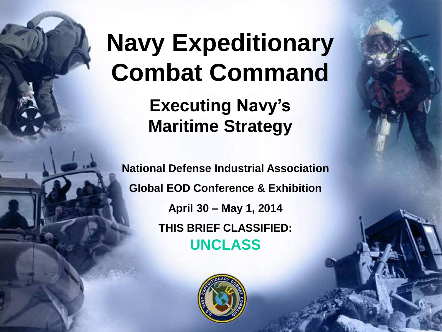# **Navy Expeditionary Combat Command**

**Executing Navy's Maritime Strategy**

**National Defense Industrial Association Global EOD Conference & Exhibition April 30 – May 1, 2014 THIS BRIEF CLASSIFIED: UNCLASS**



1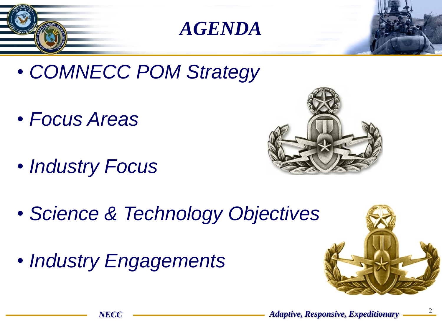- *COMNECC POM Strategy*
- *Focus Areas*
- *Industry Focus*



- *Science & Technology Objectives*
- *Industry Engagements*

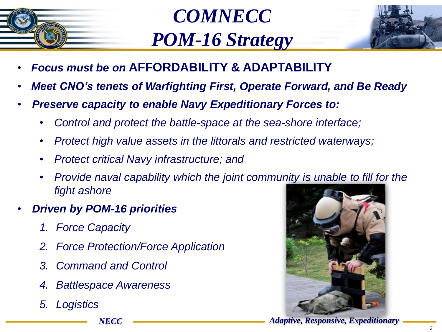

*COMNECC POM-16 Strategy*



- *Focus must be on* **AFFORDABILITY & ADAPTABILITY**
- *Meet CNO's tenets of Warfighting First, Operate Forward, and Be Ready*
- *Preserve capacity to enable Navy Expeditionary Forces to:*
	- *Control and protect the battle-space at the sea-shore interface;*
	- *Protect high value assets in the littorals and restricted waterways;*
	- *Protect critical Navy infrastructure; and*
	- *Provide naval capability which the joint community is unable to fill for the fight ashore*
- *Driven by POM-16 priorities*
	- *1. Force Capacity*
	- *2. Force Protection/Force Application*
	- *3. Command and Control*
	- *4. Battlespace Awareness*
	- *5. Logistics*



*NECC Adaptive, Responsive, Expeditionary*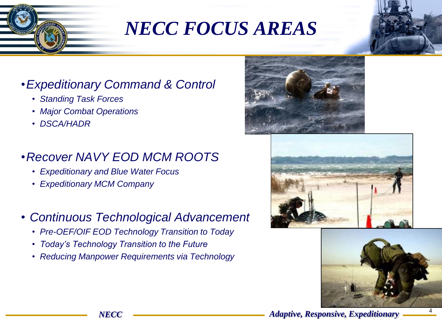## *NECC FOCUS AREAS*

#### •*Expeditionary Command & Control*

- *Standing Task Forces*
- *Major Combat Operations*
- *DSCA/HADR*

#### •*Recover NAVY EOD MCM ROOTS*

- *Expeditionary and Blue Water Focus*
- *Expeditionary MCM Company*
- *Continuous Technological Advancement* 
	- *Pre-OEF/OIF EOD Technology Transition to Today*
	- *Today's Technology Transition to the Future*
	- *Reducing Manpower Requirements via Technology*







*NECC Adaptive, Responsive, Expeditionary*

4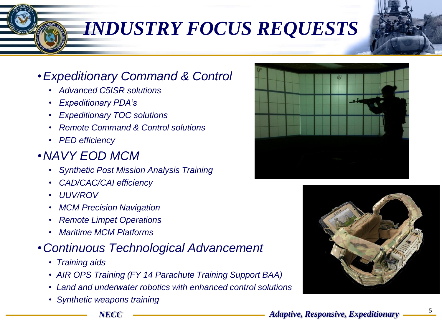## *INDUSTRY FOCUS REQUESTS*

#### •*Expeditionary Command & Control*

- • *Advanced C5ISR solutions*
- • *Expeditionary PDA's*
- • *Expeditionary TOC solutions*
- • *Remote Command & Control solutions*
- • *PED efficiency*

#### •*NAVY EOD MCM*

- *Synthetic Post Mission Analysis Training*
- *CAD/CAC/CAI efficiency*
- *UUV/ROV*
- *MCM Precision Navigation*
- *Remote Limpet Operations*
- *Maritime MCM Platforms*

#### •*Continuous Technological Advancement*

- *Training aids*
- *AIR OPS Training (FY 14 Parachute Training Support BAA)*
- *Land and underwater robotics with enhanced control solutions*
- *Synthetic weapons training*



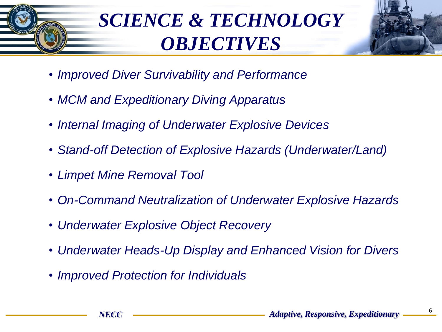## *SCIENCE & TECHNOLOGY OBJECTIVES*



- *Improved Diver Survivability and Performance*
- *MCM and Expeditionary Diving Apparatus*
- *Internal Imaging of Underwater Explosive Devices*
- *Stand-off Detection of Explosive Hazards (Underwater/Land)*
- *Limpet Mine Removal Tool*
- *On-Command Neutralization of Underwater Explosive Hazards*
- *Underwater Explosive Object Recovery*
- *Underwater Heads-Up Display and Enhanced Vision for Divers*
- *Improved Protection for Individuals*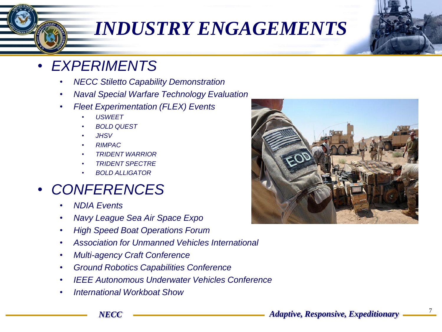### *INDUSTRY ENGAGEMENTS*

- *EXPERIMENTS*
	- *NECC Stiletto Capability Demonstration*
	- *Naval Special Warfare Technology Evaluation*
	- *Fleet Experimentation (FLEX) Events*
		- *USWEET*
		- *BOLD QUEST*
		- *JHSV*
		- *RIMPAC*
		- *TRIDENT WARRIOR*
		- *TRIDENT SPECTRE*
		- *BOLD ALLIGATOR*

#### • *CONFERENCES*

- *NDIA Events*
- *Navy League Sea Air Space Expo*
- *High Speed Boat Operations Forum*
- *Association for Unmanned Vehicles International*
- *Multi-agency Craft Conference*
- *Ground Robotics Capabilities Conference*
- *IEEE Autonomous Underwater Vehicles Conference*
- *International Workboat Show*



7